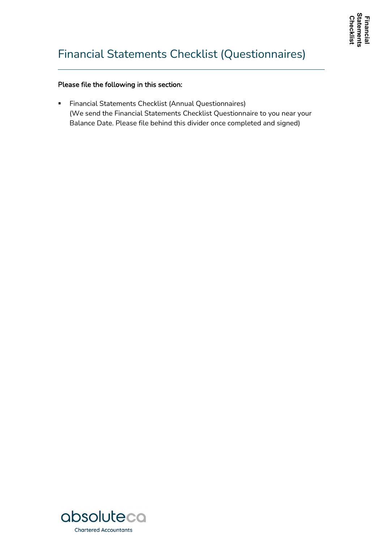# Financial Statements Checklist (Questionnaires)

#### Please file the following in this section:

**Financial Statements Checklist (Annual Questionnaires)** (We send the Financial Statements Checklist Questionnaire to you near your Balance Date. Please file behind this divider once completed and signed)

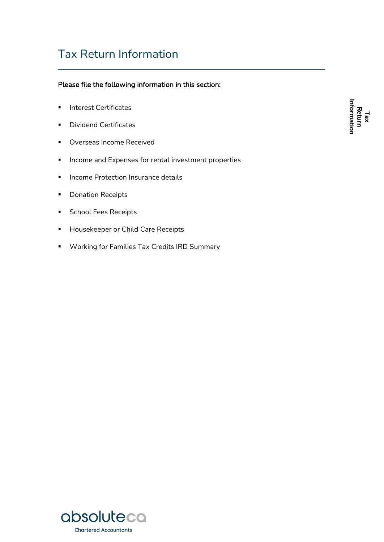## Tax Return Information

#### Please file the following information in this section:

- **Interest Certificates**
- **Dividend Certificates**
- **•** Overseas Income Received
- **Income and Expenses for rental investment properties**
- **Income Protection Insurance details**
- **•** Donation Receipts
- **School Fees Receipts**
- **Housekeeper or Child Care Receipts**
- **Working for Families Tax Credits IRD Summary**

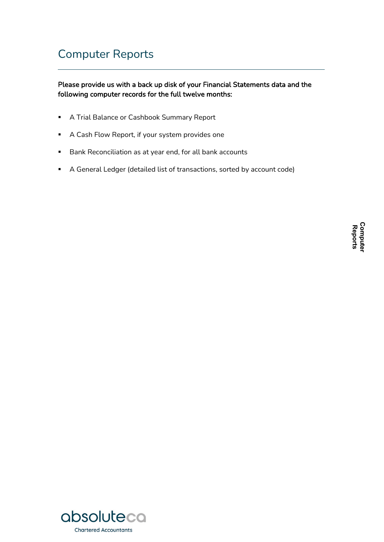## Computer Reports

#### Please provide us with a back up disk of your Financial Statements data and the following computer records for the full twelve months:

- **A Trial Balance or Cashbook Summary Report**
- A Cash Flow Report, if your system provides one
- **Bank Reconciliation as at year end, for all bank accounts**
- A General Ledger (detailed list of transactions, sorted by account code)

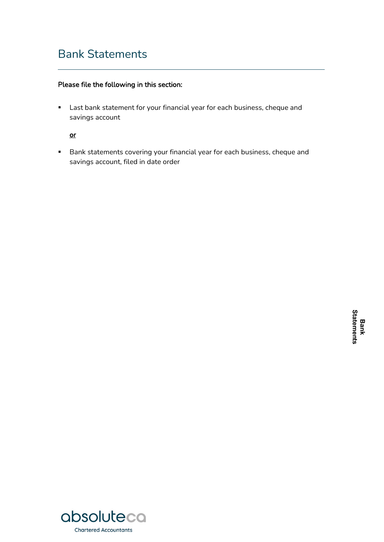### Bank Statements

#### Please file the following in this section:

 Last bank statement for your financial year for each business, cheque and savings account

or

**Bank statements covering your financial year for each business, cheque and** savings account, filed in date order

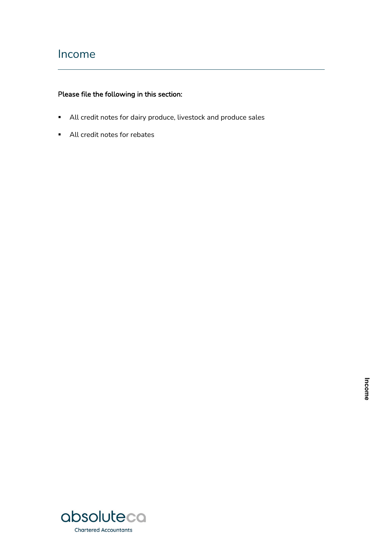### Income

- All credit notes for dairy produce, livestock and produce sales
- All credit notes for rebates

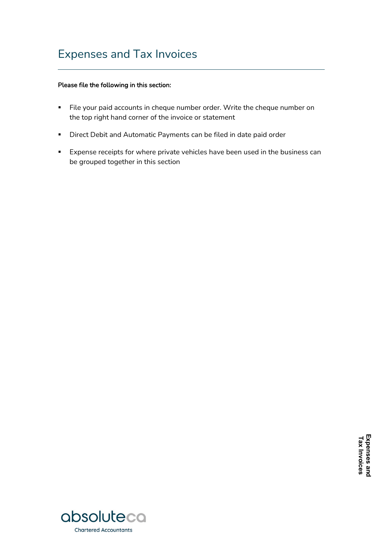### Expenses and Tax Invoices

- File your paid accounts in cheque number order. Write the cheque number on the top right hand corner of the invoice or statement
- **•** Direct Debit and Automatic Payments can be filed in date paid order
- **Expense receipts for where private vehicles have been used in the business can** be grouped together in this section

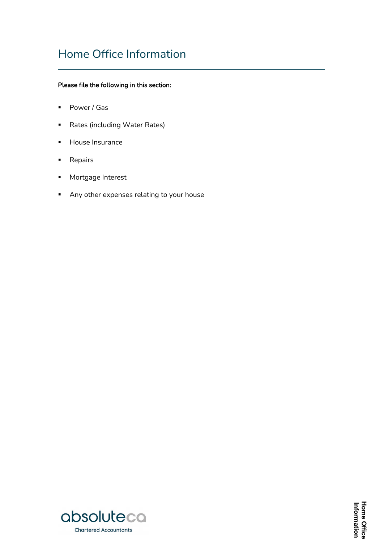# Home Office Information

- Power / Gas
- **Rates (including Water Rates)**
- **House Insurance**
- **Repairs**
- **Mortgage Interest**
- Any other expenses relating to your house

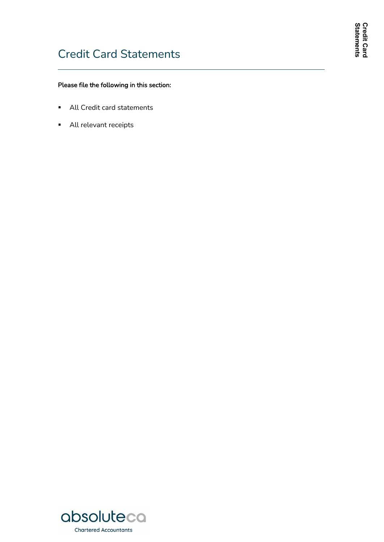- All Credit card statements
- **All relevant receipts**



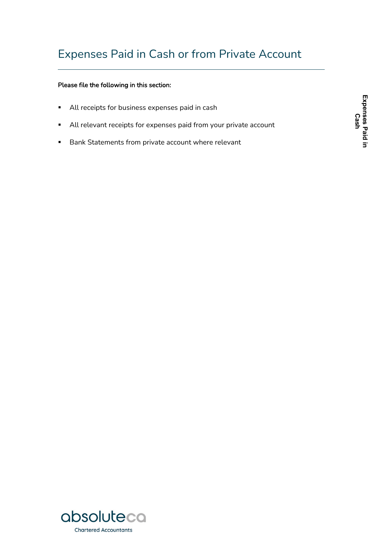- All receipts for business expenses paid in cash
- All relevant receipts for expenses paid from your private account
- **Bank Statements from private account where relevant**

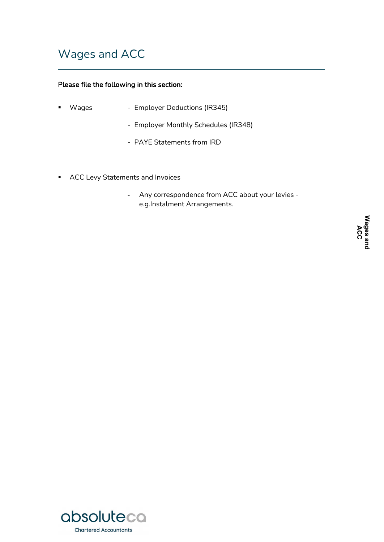## Wages and ACC

- Wages Employer Deductions (IR345)
	- Employer Monthly Schedules (IR348)
	- PAYE Statements from IRD
- **ACC Levy Statements and Invoices** 
	- Any correspondence from ACC about your levies e.g.Instalment Arrangements.

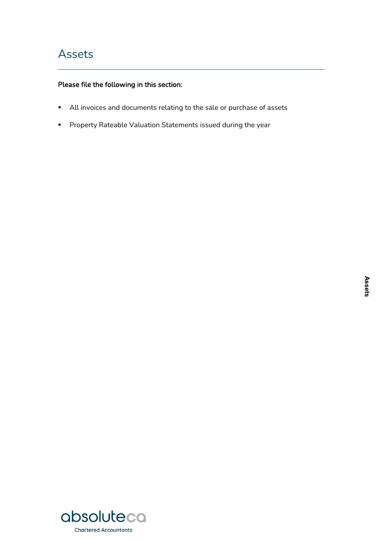- All invoices and documents relating to the sale or purchase of assets
- **Property Rateable Valuation Statements issued during the year**

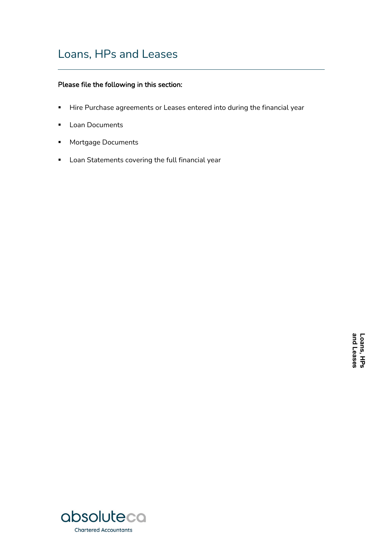### Loans, HPs and Leases

- Hire Purchase agreements or Leases entered into during the financial year
- **Loan Documents**
- **Mortgage Documents**
- **Loan Statements covering the full financial year**

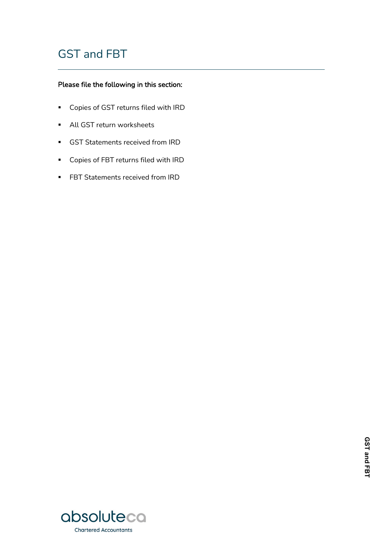# GST and FBT

- Copies of GST returns filed with IRD
- **All GST return worksheets**
- GST Statements received from IRD
- Copies of FBT returns filed with IRD
- **FBT Statements received from IRD**